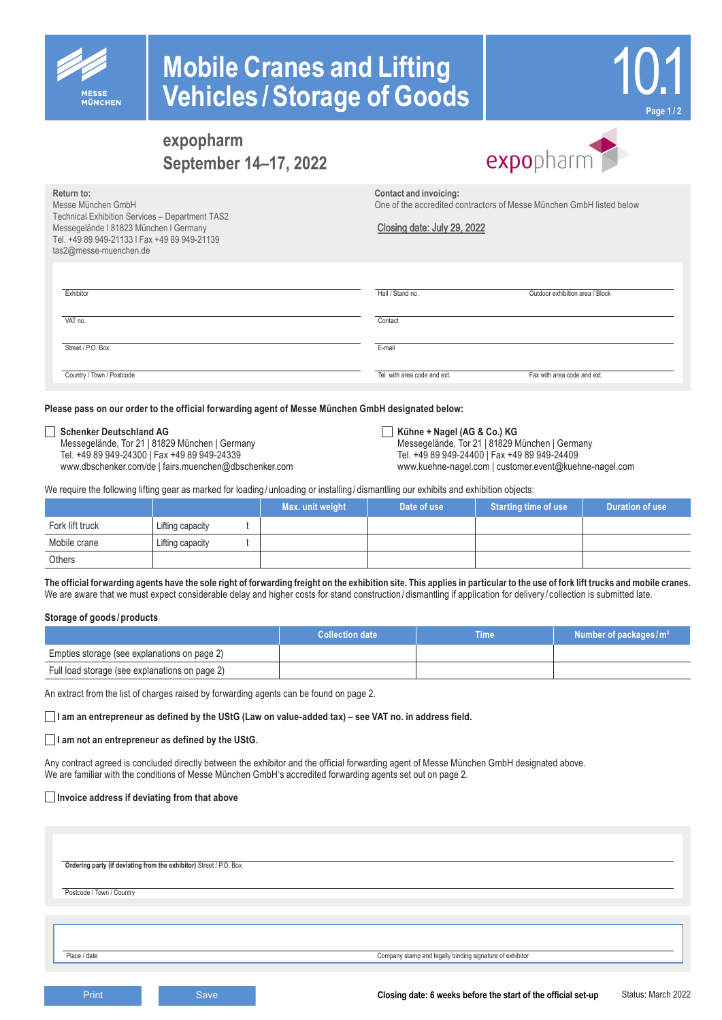

**Return to:**

Messe München GmbH

tas2@messe-muenchen.de

Technical Exhibition Services – Department TAS2 Messegelände l 81823 München l Germany Tel. +49 89 949-21133 l Fax +49 89 949-21139

# **Mobile Cranes and Lifting Vehicles /Storage of Goods**



### **expopharm September 14–17, 2022**

expopharm

**Contact and invoicing:**

One of the accredited contractors of Messe München GmbH listed below

Tel. +49 89 949-24300 | Fax +49 89 949-24339 Tel. +49 89 949-24400 | Fax +49 89 949-24409

Closing date: July 29, 2022

| Exhibitor                 | Hall / Stand no.             | Outdoor exhibition area / Block |
|---------------------------|------------------------------|---------------------------------|
| VAT no.                   | Contact                      |                                 |
| Street / P.O. Box         | E-mail                       |                                 |
| Country / Town / Postcode | Tel, with area code and ext. | Fax with area code and ext.     |

**Please pass on our order to the official forwarding agent of Messe München GmbH designated below:**

■**Schenker Deutschland AG Kühne + Nagel (AG & Co.) KG Kühne + Nagel (AG & Co.) KG Kühne + Nagel (AG & Co.) KG Messegelände, Tor 21 | 81829 N** Messegelände, Tor 21 | 81829 München | Germany Messegelände, Tor 21 | 81829 München | Germany Messegelände, Tor<br>Tel. +49 89 949-24300 | Fax +49 89 949-24339 Messegelände, Tor 49 89 949-24400 | Fax +49 89 949-24409

#### www.dbschenker.com/de | fairs.muenchen@dbschenker.com www.kuehne-nagel.com | customer.event@kuehne-nagel.com

We require the following lifting gear as marked for loading / unloading or installing / dismantling our exhibits and exhibition objects:

|                 |                  | Max. unit weight | Date of use | Starting time of use | Duration of use |
|-----------------|------------------|------------------|-------------|----------------------|-----------------|
| Fork lift truck | Lifting capacity |                  |             |                      |                 |
| Mobile crane    | Lifting capacity |                  |             |                      |                 |
| Others          |                  |                  |             |                      |                 |

**The official forwarding agents have the sole right of forwarding freight on the exhibition site. This applies in particular to the use of fork lift trucks and mobile cranes.** We are aware that we must expect considerable delay and higher costs for stand construction/dismantling if application for delivery/collection is submitted late.

#### **Storage of goods /products**

|                                                | <b>Collection date</b> | Time' | Number of packages/ $m3$ |
|------------------------------------------------|------------------------|-------|--------------------------|
| Empties storage (see explanations on page 2)   |                        |       |                          |
| Full load storage (see explanations on page 2) |                        |       |                          |

An extract from the list of charges raised by forwarding agents can be found on page 2.

**I am an entrepreneur as defined by the UStG (Law on value-added tax) – see VAT no. in address field.**

**I am not an entrepreneur as defined by the UStG.**

Any contract agreed is concluded directly between the exhibitor and the official forwarding agent of Messe München GmbH designated above. We are familiar with the conditions of Messe München GmbH's accredited forwarding agents set out on page 2.

#### **Invoice address if deviating from that above**

**Ordering party (if deviating from the exhibitor)** Street / P.O. Box

Postcode / Town / Country

Place / date Company stamp and legally binding signature of exhibitor